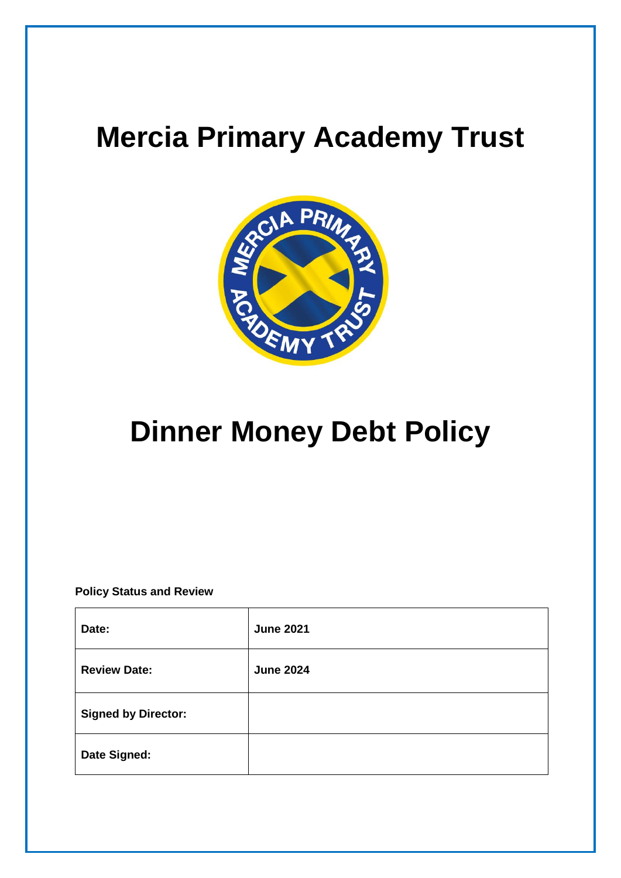# **Mercia Primary Academy Trust**



# **Dinner Money Debt Policy**

**Policy Status and Review**

| Date:                      | <b>June 2021</b> |
|----------------------------|------------------|
| <b>Review Date:</b>        | <b>June 2024</b> |
| <b>Signed by Director:</b> |                  |
| Date Signed:               |                  |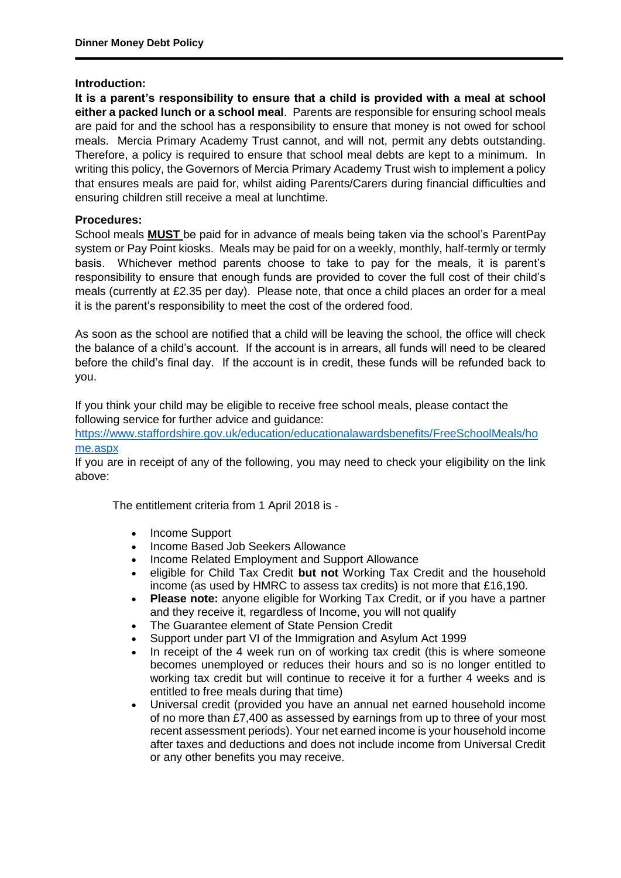#### **Introduction:**

**It is a parent's responsibility to ensure that a child is provided with a meal at school either a packed lunch or a school meal**. Parents are responsible for ensuring school meals are paid for and the school has a responsibility to ensure that money is not owed for school meals. Mercia Primary Academy Trust cannot, and will not, permit any debts outstanding. Therefore, a policy is required to ensure that school meal debts are kept to a minimum. In writing this policy, the Governors of Mercia Primary Academy Trust wish to implement a policy that ensures meals are paid for, whilst aiding Parents/Carers during financial difficulties and ensuring children still receive a meal at lunchtime.

## **Procedures:**

School meals **MUST** be paid for in advance of meals being taken via the school's ParentPay system or Pay Point kiosks. Meals may be paid for on a weekly, monthly, half-termly or termly basis. Whichever method parents choose to take to pay for the meals, it is parent's responsibility to ensure that enough funds are provided to cover the full cost of their child's meals (currently at £2.35 per day). Please note, that once a child places an order for a meal it is the parent's responsibility to meet the cost of the ordered food.

As soon as the school are notified that a child will be leaving the school, the office will check the balance of a child's account. If the account is in arrears, all funds will need to be cleared before the child's final day. If the account is in credit, these funds will be refunded back to you.

If you think your child may be eligible to receive free school meals, please contact the following service for further advice and guidance:

[https://www.staffordshire.gov.uk/education/educationalawardsbenefits/FreeSchoolMeals/ho](https://www.staffordshire.gov.uk/education/educationalawardsbenefits/FreeSchoolMeals/home.aspx) [me.aspx](https://www.staffordshire.gov.uk/education/educationalawardsbenefits/FreeSchoolMeals/home.aspx)

If you are in receipt of any of the following, you may need to check your eligibility on the link above:

The entitlement criteria from 1 April 2018 is -

- Income Support
- Income Based Job Seekers Allowance
- Income Related Employment and Support Allowance
- eligible for Child Tax Credit **but not** Working Tax Credit and the household income (as used by HMRC to assess tax credits) is not more that £16,190.
- **Please note:** anyone eligible for Working Tax Credit, or if you have a partner and they receive it, regardless of Income, you will not qualify
- The Guarantee element of State Pension Credit
- Support under part VI of the Immigration and Asylum Act 1999
- In receipt of the 4 week run on of working tax credit (this is where someone becomes unemployed or reduces their hours and so is no longer entitled to working tax credit but will continue to receive it for a further 4 weeks and is entitled to free meals during that time)
- Universal credit (provided you have an annual net earned household income of no more than £7,400 as assessed by earnings from up to three of your most recent assessment periods). Your net earned income is your household income after taxes and deductions and does not include income from Universal Credit or any other benefits you may receive.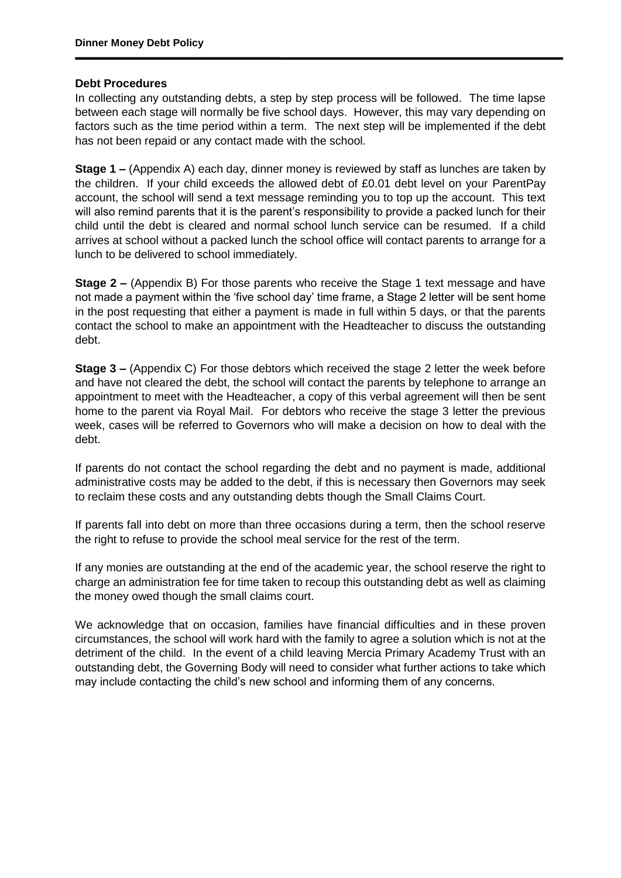#### **Debt Procedures**

In collecting any outstanding debts, a step by step process will be followed. The time lapse between each stage will normally be five school days. However, this may vary depending on factors such as the time period within a term. The next step will be implemented if the debt has not been repaid or any contact made with the school.

**Stage 1 –** (Appendix A) each day, dinner money is reviewed by staff as lunches are taken by the children. If your child exceeds the allowed debt of £0.01 debt level on your ParentPay account, the school will send a text message reminding you to top up the account. This text will also remind parents that it is the parent's responsibility to provide a packed lunch for their child until the debt is cleared and normal school lunch service can be resumed. If a child arrives at school without a packed lunch the school office will contact parents to arrange for a lunch to be delivered to school immediately.

**Stage 2 –** (Appendix B) For those parents who receive the Stage 1 text message and have not made a payment within the 'five school day' time frame, a Stage 2 letter will be sent home in the post requesting that either a payment is made in full within 5 days, or that the parents contact the school to make an appointment with the Headteacher to discuss the outstanding debt.

**Stage 3 –** (Appendix C) For those debtors which received the stage 2 letter the week before and have not cleared the debt, the school will contact the parents by telephone to arrange an appointment to meet with the Headteacher, a copy of this verbal agreement will then be sent home to the parent via Royal Mail. For debtors who receive the stage 3 letter the previous week, cases will be referred to Governors who will make a decision on how to deal with the debt.

If parents do not contact the school regarding the debt and no payment is made, additional administrative costs may be added to the debt, if this is necessary then Governors may seek to reclaim these costs and any outstanding debts though the Small Claims Court.

If parents fall into debt on more than three occasions during a term, then the school reserve the right to refuse to provide the school meal service for the rest of the term.

If any monies are outstanding at the end of the academic year, the school reserve the right to charge an administration fee for time taken to recoup this outstanding debt as well as claiming the money owed though the small claims court.

We acknowledge that on occasion, families have financial difficulties and in these proven circumstances, the school will work hard with the family to agree a solution which is not at the detriment of the child. In the event of a child leaving Mercia Primary Academy Trust with an outstanding debt, the Governing Body will need to consider what further actions to take which may include contacting the child's new school and informing them of any concerns.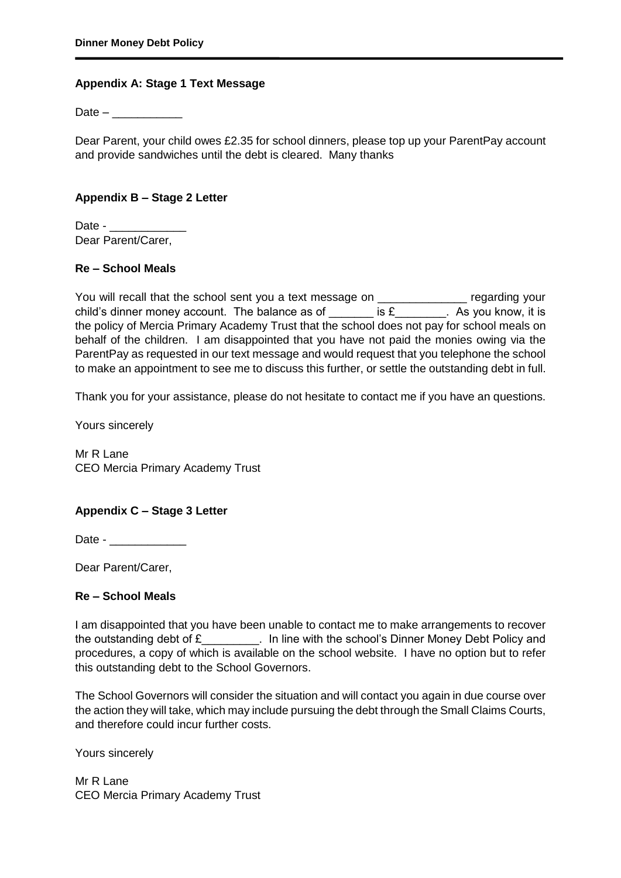## **Appendix A: Stage 1 Text Message**

 $Date -$ 

Dear Parent, your child owes £2.35 for school dinners, please top up your ParentPay account and provide sandwiches until the debt is cleared. Many thanks

# **Appendix B – Stage 2 Letter**

Date -Dear Parent/Carer,

### **Re – School Meals**

You will recall that the school sent you a text message on *\_\_\_\_\_\_\_\_\_\_\_\_\_\_* regarding your child's dinner money account. The balance as of  $\qquad \qquad$  is £\_\_\_\_\_\_\_. As you know, it is the policy of Mercia Primary Academy Trust that the school does not pay for school meals on behalf of the children. I am disappointed that you have not paid the monies owing via the ParentPay as requested in our text message and would request that you telephone the school to make an appointment to see me to discuss this further, or settle the outstanding debt in full.

Thank you for your assistance, please do not hesitate to contact me if you have an questions.

Yours sincerely

Mr R Lane CEO Mercia Primary Academy Trust

# **Appendix C – Stage 3 Letter**

Date - \_\_\_\_\_\_\_\_\_\_\_\_

Dear Parent/Carer,

#### **Re – School Meals**

I am disappointed that you have been unable to contact me to make arrangements to recover the outstanding debt of  $E_1$  . In line with the school's Dinner Money Debt Policy and procedures, a copy of which is available on the school website. I have no option but to refer this outstanding debt to the School Governors.

The School Governors will consider the situation and will contact you again in due course over the action they will take, which may include pursuing the debt through the Small Claims Courts, and therefore could incur further costs.

Yours sincerely

Mr R Lane CEO Mercia Primary Academy Trust